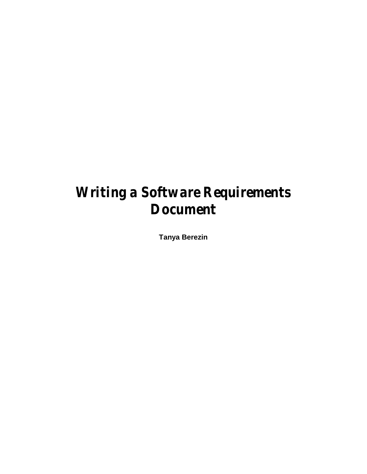# *Writing a Software Requirements Document*

**Tanya Berezin**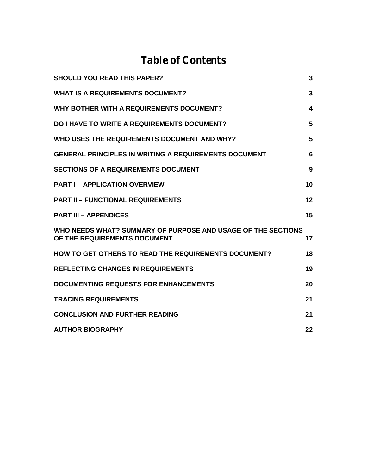## *Table of Contents*

| <b>SHOULD YOU READ THIS PAPER?</b>                                                           | 3  |
|----------------------------------------------------------------------------------------------|----|
| <b>WHAT IS A REQUIREMENTS DOCUMENT?</b>                                                      | 3  |
| WHY BOTHER WITH A REQUIREMENTS DOCUMENT?                                                     | 4  |
| <b>DO I HAVE TO WRITE A REQUIREMENTS DOCUMENT?</b>                                           | 5  |
| WHO USES THE REQUIREMENTS DOCUMENT AND WHY?                                                  | 5  |
| <b>GENERAL PRINCIPLES IN WRITING A REQUIREMENTS DOCUMENT</b>                                 | 6  |
| <b>SECTIONS OF A REQUIREMENTS DOCUMENT</b>                                                   | 9  |
| <b>PART I-APPLICATION OVERVIEW</b>                                                           | 10 |
| <b>PART II - FUNCTIONAL REQUIREMENTS</b>                                                     | 12 |
| <b>PART III - APPENDICES</b>                                                                 | 15 |
| WHO NEEDS WHAT? SUMMARY OF PURPOSE AND USAGE OF THE SECTIONS<br>OF THE REQUIREMENTS DOCUMENT | 17 |
| HOW TO GET OTHERS TO READ THE REQUIREMENTS DOCUMENT?                                         | 18 |
| <b>REFLECTING CHANGES IN REQUIREMENTS</b>                                                    | 19 |
| <b>DOCUMENTING REQUESTS FOR ENHANCEMENTS</b>                                                 | 20 |
| <b>TRACING REQUIREMENTS</b>                                                                  | 21 |
| <b>CONCLUSION AND FURTHER READING</b>                                                        | 21 |
| <b>AUTHOR BIOGRAPHY</b>                                                                      | 22 |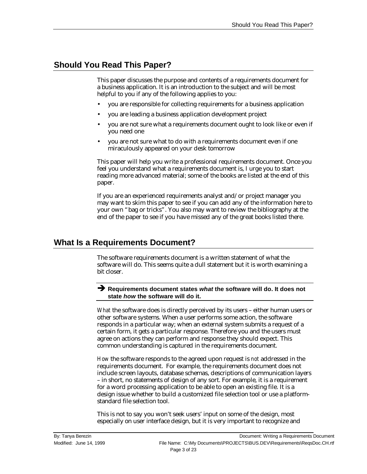## **Should You Read This Paper?**

This paper discusses the purpose and contents of a requirements document for a business application. It is an introduction to the subject and will be most helpful to you if any of the following applies to you:

- you are responsible for collecting requirements for a business application
- you are leading a business application development project
- you are not sure what a requirements document ought to look like or even if you need one
- you are not sure what to do with a requirements document even if one miraculously appeared on your desk tomorrow

This paper will help you write a professional requirements document. Once you feel you understand what a requirements document is, I urge you to start reading more advanced material; some of the books are listed at the end of this paper.

If you are an experienced requirements analyst and/or project manager you may want to skim this paper to see if you can add any of the information here to your own "bag or tricks". You also may want to review the bibliography at the end of the paper to see if you have missed any of the great books listed there.

## **What Is a Requirements Document?**

The software requirements document is a written statement of what the software will do. This seems quite a dull statement but it is worth examining a bit closer.

#### Ë **Requirements document states** *what* **the software will do. It does not state** *how* **the software will do it.**

*What* the software does is directly perceived by its users – either human users or other software systems. When a user performs some action, the software responds in a particular way; when an external system submits a request of a certain form, it gets a particular response. Therefore you and the users must agree on actions they can perform and response they should expect. This common understanding is captured in the requirements document.

*How* the software responds to the agreed upon request is *not* addressed in the requirements document. For example, the requirements document does not include screen layouts, database schemas, descriptions of communication layers – in short, no statements of design of any sort. For example, it is a requirement for a word processing application to be able to open an existing file. It is a design issue whether to build a customized file selection tool or use a platformstandard file selection tool.

This is not to say you won't seek users' input on some of the design, most especially on user interface design, but it is very important to recognize and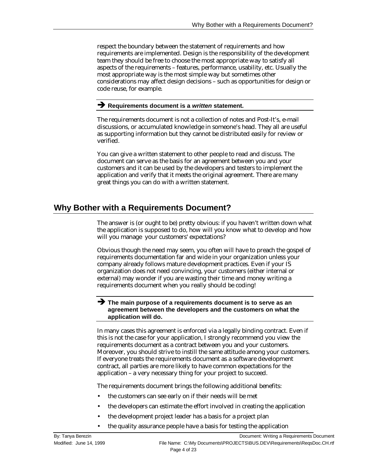respect the boundary between the statement of requirements and how requirements are implemented. Design is the responsibility of the development team they should be free to choose the most appropriate way to satisfy all aspects of the requirements – features, performance, usability, etc. Usually the most appropriate way is the most simple way but sometimes other considerations may affect design decisions – such as opportunities for design or code reuse, for example.

#### $\rightarrow$  Requirements document is a *written* statement.

The requirements document is not a collection of notes and Post-It's, e-mail discussions, or accumulated knowledge in someone's head. They all are useful as supporting information but they cannot be distributed easily for review or verified.

You can give a written statement to other people to read and discuss. The document can serve as the basis for an agreement between you and your customers and it can be used by the developers and testers to implement the application and verify that it meets the original agreement. There are many great things you can do with a written statement.

## **Why Bother with a Requirements Document?**

The answer is (or ought to be) pretty obvious: if you haven't written down what the application is supposed to do, how will you know what to develop and how will you manage your customers' expectations?

Obvious though the need may seem, you often will have to preach the gospel of requirements documentation far and wide in your organization unless your company already follows mature development practices. Even if your IS organization does not need convincing, your customers (either internal or external) may wonder if you are wasting their time and money writing a requirements document when you really should be coding!

#### Ë **The main purpose of a requirements document is to serve as an agreement between the developers and the customers on what the application will do.**

In many cases this agreement is enforced via a legally binding contract. Even if this is not the case for your application, I strongly recommend you view the requirements document as a contract between you and your customers. Moreover, you should strive to instill the same attitude among your customers. If everyone treats the requirements document as a software development contract, all parties are more likely to have common expectations for the application – a very necessary thing for your project to succeed.

The requirements document brings the following additional benefits:

- the customers can see early on if their needs will be met
- the developers can estimate the effort involved in creating the application
- the development project leader has a basis for a project plan
- the quality assurance people have a basis for testing the application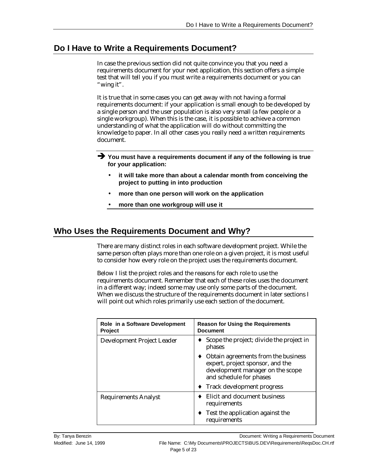## **Do I Have to Write a Requirements Document?**

In case the previous section did not quite convince you that you need a requirements document for your next application, this section offers a simple test that will tell you if you must write a requirements document or you can "wing it".

It is true that in some cases you can get away with not having a formal requirements document: if your application is small enough to be developed by a single person and the user population is also very small (a few people or a single workgroup). When this is the case, it is possible to achieve a common understanding of what the application will do without committing the knowledge to paper. In all other cases you really need a written requirements document.

- $\rightarrow$  You must have a requirements document if any of the following is true **for your application:**
	- **it will take more than about a calendar month from conceiving the project to putting in into production**
	- **more than one person will work on the application**
	- **more than one workgroup will use it**

## **Who Uses the Requirements Document and Why?**

There are many distinct roles in each software development project. While the same person often plays more than one role on a given project, it is most useful to consider how every role on the project uses the requirements document.

Below I list the project roles and the reasons for each role to use the requirements document. Remember that each of these roles uses the document in a different way; indeed some may use only some parts of the document. When we discuss the structure of the requirements document in later sections I will point out which roles primarily use each section of the document.

| Role in a Software Development<br><b>Project</b> | <b>Reason for Using the Requirements</b><br><b>Document</b>                                                                            |  |
|--------------------------------------------------|----------------------------------------------------------------------------------------------------------------------------------------|--|
| Development Project Leader                       | Scope the project; divide the project in<br>phases                                                                                     |  |
|                                                  | Obtain agreements from the business<br>expert, project sponsor, and the<br>development manager on the scope<br>and schedule for phases |  |
|                                                  | Track development progress                                                                                                             |  |
| <b>Requirements Analyst</b>                      | Elicit and document business<br>requirements                                                                                           |  |
|                                                  | Test the application against the<br>requirements                                                                                       |  |

By: Tanya Berezin Document: Writing a Requirements Document Modified: June 14, 1999 **File Name: C:\My Documents\PROJECTS\BUS.DEV\Requirements\ReqsDoc.CH.rtf** Page 5 of 23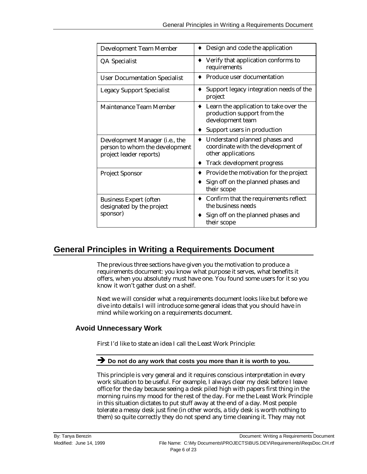| <b>Development Team Member</b>                                                                       | Design and code the application                                                           |
|------------------------------------------------------------------------------------------------------|-------------------------------------------------------------------------------------------|
| QA Specialist                                                                                        | Verify that application conforms to<br>requirements                                       |
| <b>User Documentation Specialist</b>                                                                 | Produce user documentation                                                                |
| <b>Legacy Support Specialist</b>                                                                     | Support legacy integration needs of the<br>project                                        |
| Maintenance Team Member                                                                              | Learn the application to take over the<br>production support from the<br>development team |
|                                                                                                      | Support users in production                                                               |
| Development Manager ( <i>i.e.</i> , the<br>person to whom the development<br>project leader reports) | Understand planned phases and<br>coordinate with the development of<br>other applications |
|                                                                                                      | Track development progress                                                                |
| <b>Project Sponsor</b>                                                                               | Provide the motivation for the project                                                    |
|                                                                                                      | Sign off on the planned phases and<br>their scope                                         |
| <b>Business Expert (often</b><br>designated by the project                                           | $\bullet$ Confirm that the requirements reflect<br>the business needs                     |
| sponsor)                                                                                             | Sign off on the planned phases and<br>their scope                                         |

## **General Principles in Writing a Requirements Document**

The previous three sections have given you the motivation to produce a requirements document: you know what purpose it serves, what benefits it offers, when you absolutely must have one. You found some users for it so you know it won't gather dust on a shelf.

Next we will consider what a requirements document looks like but before we dive into details I will introduce some general ideas that you should have in mind while working on a requirements document.

#### **Avoid Unnecessary Work**

First I'd like to state an idea I call the Least Work Principle:

#### $\rightarrow$  Do not do any work that costs you more than it is worth to you.

This principle is very general and it requires conscious interpretation in every work situation to be useful. For example, I always clear my desk before I leave office for the day because seeing a desk piled high with papers first thing in the morning ruins my mood for the rest of the day. For me the Least Work Principle in this situation dictates to put stuff away at the end of a day. Most people tolerate a messy desk just fine (in other words, a tidy desk is worth nothing to them) so quite correctly they do not spend any time cleaning it. They may not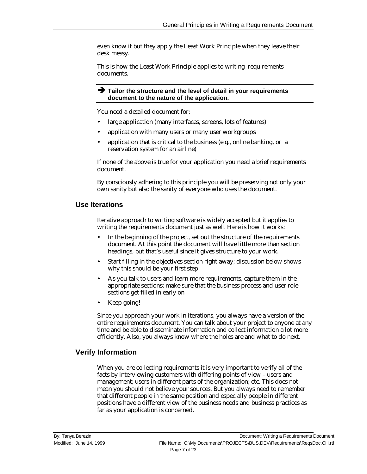even know it but they apply the Least Work Principle when they leave their desk messy.

This is how the Least Work Principle applies to writing requirements documents.

 $\rightarrow$  Tailor the structure and the level of detail in your requirements **document to the nature of the application.**

You need a detailed document for:

- large application (many interfaces, screens, lots of features)
- application with many users or many user workgroups
- application that is critical to the business (e.g., online banking, or a reservation system for an airline)

If none of the above is true for your application you need a brief requirements document.

By consciously adhering to this principle you will be preserving not only your own sanity but also the sanity of everyone who uses the document.

#### **Use Iterations**

Iterative approach to writing software is widely accepted but it applies to writing the requirements document just as well. Here is how it works:

- In the beginning of the project, set out the structure of the requirements document. At this point the document will have little more than section headings, but that's useful since it gives structure to your work.
- Start filling in the objectives section right away; discussion below shows why this should be your first step
- As you talk to users and learn more requirements, capture them in the appropriate sections; make sure that the business process and user role sections get filled in early on
- Keep going!

Since you approach your work in iterations, you always have a version of the entire requirements document. You can talk about your project to anyone at any time and be able to disseminate information and collect information a lot more efficiently. Also, you always know where the holes are and what to do next.

#### **Verify Information**

When you are collecting requirements it is very important to verify all of the facts by interviewing customers with differing points of view – users and management; users in different parts of the organization; etc. This does not mean you should not believe your sources. But you always need to remember that different people in the same position and especially people in different positions have a different view of the business needs and business practices as far as your application is concerned.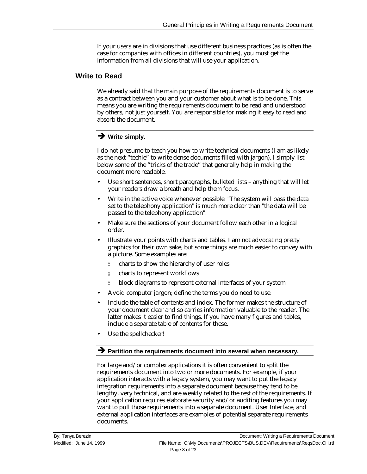If your users are in divisions that use different business practices (as is often the case for companies with offices in different countries), you must get the information from all divisions that will use your application.

#### **Write to Read**

We already said that the main purpose of the requirements document is to serve as a contract between you and your customer about what is to be done. This means you are writing the requirements document to be read and understood by others, not just yourself. You are responsible for making it easy to read and absorb the document.

### $\rightarrow$  Write simply.

I do not presume to teach you how to write technical documents (I am as likely as the next "techie" to write dense documents filled with jargon). I simply list below some of the "tricks of the trade" that generally help in making the document more readable.

- Use short sentences, short paragraphs, bulleted lists anything that will let your readers draw a breath and help them focus.
- Write in the active voice whenever possible. "The system will pass the data set to the telephony application" is much more clear than "the data will be passed to the telephony application".
- Make sure the sections of your document follow each other in a logical order.
- Illustrate your points with charts and tables. I am not advocating pretty graphics for their own sake, but some things are much easier to convey with a picture. Some examples are:
	- ◊ charts to show the hierarchy of user roles
	- ◊ charts to represent workflows
	- ◊ block diagrams to represent external interfaces of your system
- Avoid computer jargon; define the terms you do need to use.
- Include the table of contents and index. The former makes the structure of your document clear and so carries information valuable to the reader. The latter makes it easier to find things. If you have many figures and tables, include a separate table of contents for these.
- Use the spellchecker!

#### $\rightarrow$  Partition the requirements document into several when necessary.

For large and/or complex applications it is often convenient to split the requirements document into two or more documents. For example, if your application interacts with a legacy system, you may want to put the legacy integration requirements into a separate document because they tend to be lengthy, very technical, and are weakly related to the rest of the requirements. If your application requires elaborate security and/or auditing features you may want to pull those requirements into a separate document. User Interface, and external application interfaces are examples of potential separate requirements documents.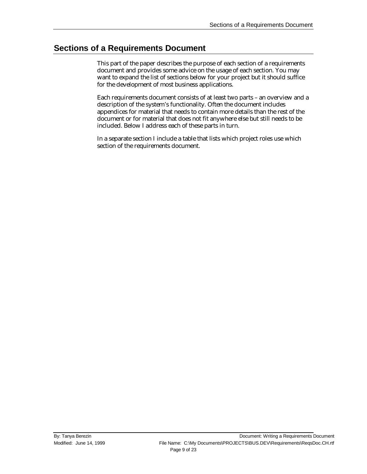## **Sections of a Requirements Document**

This part of the paper describes the purpose of each section of a requirements document and provides some advice on the usage of each section. You may want to expand the list of sections below for your project but it should suffice for the development of most business applications.

Each requirements document consists of at least two parts – an overview and a description of the system's functionality. Often the document includes appendices for material that needs to contain more details than the rest of the document or for material that does not fit anywhere else but still needs to be included. Below I address each of these parts in turn.

In a separate section I include a table that lists which project roles use which section of the requirements document.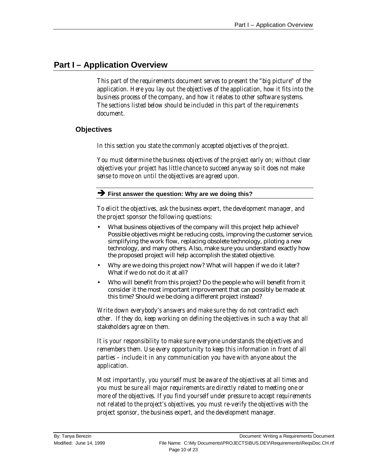## **Part I – Application Overview**

*This part of the requirements document serves to present the "big picture" of the application. Here you lay out the objectives of the application, how it fits into the business process of the company, and how it relates to other software systems. The sections listed below should be included in this part of the requirements document.*

#### **Objectives**

*In this section you state the commonly accepted objectives of the project.*

*You must determine the business objectives of the project early on; without clear objectives your project has little chance to succeed anyway so it does not make sense to move on until the objectives are agreed upon.*

#### **Example 3 First answer the question: Why are we doing this?**

*To elicit the objectives, ask the business expert, the development manager, and the project sponsor the following questions:*

- What business objectives of the company will this project help achieve? Possible objectives might be reducing costs, improving the customer service, simplifying the work flow, replacing obsolete technology, piloting a new technology, and many others. Also, make sure you understand exactly how the proposed project will help accomplish the stated objective.
- Why are we doing this project now? What will happen if we do it later? What if we do not do it at all?
- Who will benefit from this project? Do the people who will benefit from it consider it the most important improvement that can possibly be made at this time? Should we be doing a different project instead?

*Write down everybody's answers and make sure they do not contradict each other. If they do, keep working on defining the objectives in such a way that all stakeholders agree on them.*

*It is your responsibility to make sure everyone understands the objectives and remembers them. Use every opportunity to keep this information in front of all parties – include it in any communication you have with anyone about the application.*

*Most importantly, you yourself must be aware of the objectives at all times and you must be sure all major requirements are directly related to meeting one or more of the objectives. If you find yourself under pressure to accept requirements not related to the project's objectives, you must re-verify the objectives with the project sponsor, the business expert, and the development manager.*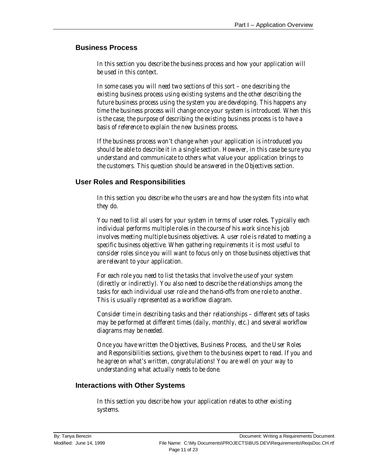#### **Business Process**

*In this section you describe the business process and how your application will be used in this context.*

*In some cases you will need two sections of this sort – one describing the existing business process using existing systems and the other describing the future business process using the system you are developing. This happens any time the business process will change once your system is introduced. When this is the case, the purpose of describing the existing business process is to have a basis of reference to explain the new business process.*

*If the business process won't change when your application is introduced you should be able to describe it in a single section. However, in this case be sure you understand and communicate to others what value your application brings to the customers. This question should be answered in the Objectives section.*

#### **User Roles and Responsibilities**

*In this section you describe who the users are and how the system fits into what they do.*

*You need to list all users for your system in terms of* user roles*. Typically each individual performs multiple roles in the course of his work since his job involves meeting multiple business objectives. A user role is related to meeting a specific business objective. When gathering requirements it is most useful to consider roles since you will want to focus only on those business objectives that are relevant to your application.*

*For each role you need to list the tasks that involve the use of your system (directly or indirectly). You also need to describe the relationships among the tasks for each individual user role and the hand-offs from one role to another. This is usually represented as a workflow diagram.*

*Consider time in describing tasks and their relationships – different sets of tasks may be performed at different times (daily, monthly, etc.) and several workflow diagrams may be needed.*

*Once you have written the Objectives, Business Process, and the User Roles and Responsibilities sections, give them to the business expert to read. If you and he agree on what's written, congratulations! You are well on your way to understanding what actually needs to be done.*

#### **Interactions with Other Systems**

*In this section you describe how your application relates to other existing systems.*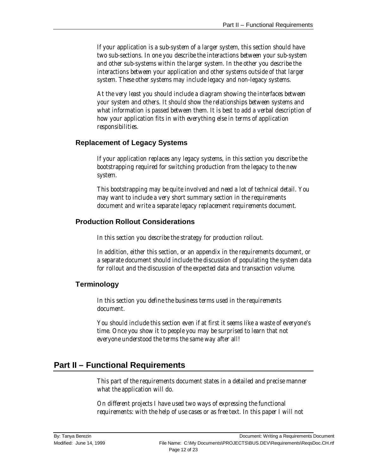*If your application is a sub-system of a larger system, this section should have two sub-sections. In one you describe the interactions between your sub-system and other sub-systems within the larger system. In the other you describe the interactions between your application and other systems outside of that larger system. These other systems may include legacy and non-legacy systems.*

*At the very least you should include a diagram showing the interfaces between your system and others. It should show the relationships between systems and what information is passed between them. It is best to add a verbal description of how your application fits in with everything else in terms of application responsibilities.*

#### **Replacement of Legacy Systems**

*If your application replaces any legacy systems, in this section you describe the bootstrapping required for switching production from the legacy to the new system.*

*This bootstrapping may be quite involved and need a lot of technical detail. You may want to include a very short summary section in the requirements document and write a separate legacy replacement requirements document.*

#### **Production Rollout Considerations**

*In this section you describe the strategy for production rollout.*

*In addition, either this section, or an appendix in the requirements document, or a separate document should include the discussion of populating the system data for rollout and the discussion of the expected data and transaction volume.*

#### **Terminology**

*In this section you define the business terms used in the requirements document.*

*You should include this section even if at first it seems like a waste of everyone's time. Once you show it to people you may be surprised to learn that not everyone understood the terms the same way after all!*

## **Part II – Functional Requirements**

*This part of the requirements document states in a detailed and precise manner what the application will do.*

*On different projects I have used two ways of expressing the functional requirements: with the help of use cases or as free text. In this paper I will not*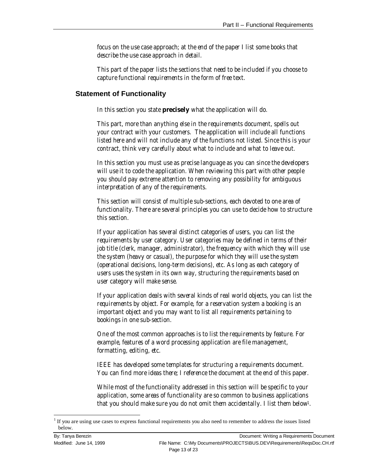*focus on the use case approach; at the end of the paper I list some books that describe the use case approach in detail.*

*This part of the paper lists the sections that need to be included if you choose to capture functional requirements in the form of free text.*

#### **Statement of Functionality**

*In this section you state* **precisely** *what the application will do.*

*This part, more than anything else in the requirements document, spells out your contract with your customers. The application will include all functions listed here and will not include any of the functions not listed. Since this is your contract, think very carefully about what to include and what to leave out.*

*In this section you must use as precise language as you can since the developers will use it to code the application. When reviewing this part with other people you should pay extreme attention to removing any possibility for ambiguous interpretation of any of the requirements.*

*This section will consist of multiple sub-sections, each devoted to one area of functionality. There are several principles you can use to decide how to structure this section.*

*If your application has several distinct categories of users, you can list the requirements by user category. User categories may be defined in terms of their job title (clerk, manager, administrator), the frequency with which they will use the system (heavy or casual), the purpose for which they will use the system (operational decisions, long-term decisions), etc. As long as each category of users uses the system in its own way, structuring the requirements based on user category will make sense.*

*If your application deals with several kinds of real world objects, you can list the requirements by object. For example, for a reservation system a booking is an important object and you may want to list all requirements pertaining to bookings in one sub-section.*

*One of the most common approaches is to list the requirements by feature. For example, features of a word processing application are file management, formatting, editing, etc.*

*IEEE has developed some templates for structuring a requirements document. You can find more ideas there; I reference the document at the end of this paper.*

*While most of the functionality addressed in this section will be specific to your application, some areas of functionality are so common to business applications that you should make sure you do not omit them accidentally. I list them below1.*

1

 $1$  If you are using use cases to express functional requirements you also need to remember to address the issues listed below.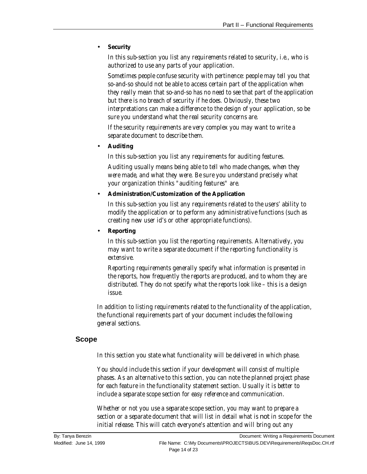#### • **Security**

*In this sub-section you list any requirements related to security, i.e., who is authorized to use any parts of your application.*

*Sometimes people confuse security with pertinence: people may tell you that so-and-so should not be able to access certain part of the application when they really mean that so-and-so has no need to see that part of the application but there is no breach of security if he does. Obviously, these two interpretations can make a difference to the design of your application, so be sure you understand what the real security concerns are.*

*If the security requirements are very complex you may want to write a separate document to describe them.*

• **Auditing**

*In this sub-section you list any requirements for auditing features.*

*Auditing usually means being able to tell who made changes, when they were made, and what they were. Be sure you understand precisely what your organization thinks "auditing features" are.*

#### • **Administration/Customization of the Application**

*In this sub-section you list any requirements related to the users' ability to modify the application or to perform any administrative functions (such as creating new user id's or other appropriate functions).*

#### • **Reporting**

*In this sub-section you list the reporting requirements. Alternatively, you may want to write a separate document if the reporting functionality is extensive.*

*Reporting requirements generally specify what information is presented in the reports, how frequently the reports are produced, and to whom they are distributed. They do not specify what the reports look like – this is a design issue.*

*In addition to listing requirements related to the functionality of the application, the functional requirements part of your document includes the following general sections.*

#### **Scope**

*In this section you state what functionality will be delivered in which phase.*

*You should include this section if your development will consist of multiple phases. As an alternative to this section, you can note the planned project phase for each feature in the functionality statement section. Usually it is better to include a separate scope section for easy reference and communication.*

*Whether or not you use a separate scope section, you may want to prepare a section or a separate document that will list in detail what is* not *in scope for the initial release. This will catch everyone's attention and will bring out any*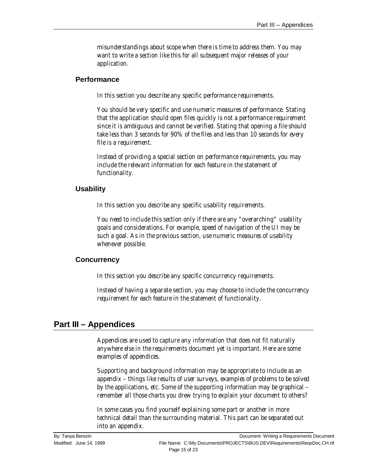*misunderstandings about scope when there is time to address them. You may want to write a section like this for all subsequent major releases of your application.*

#### **Performance**

*In this section you describe any specific performance requirements.*

*You should be very specific and use numeric measures of performance. Stating that the application should open files quickly is not a performance requirement since it is ambiguous and cannot be verified. Stating that opening a file should take less than 3 seconds for 90% of the files and less than 10 seconds for every file is a requirement.*

*Instead of providing a special section on performance requirements, you may include the relevant information for each feature in the statement of functionality.*

#### **Usability**

*In this section you describe any specific usability requirements.*

*You need to include this section only if there are any "overarching" usability goals and considerations. For example, speed of navigation of the UI may be such a goal. As in the previous section, use numeric measures of usability whenever possible.*

#### **Concurrency**

*In this section you describe any specific concurrency requirements.*

*Instead of having a separate section, you may choose to include the concurrency requirement for each feature in the statement of functionality.*

## **Part III – Appendices**

*Appendices are used to capture any information that does not fit naturally anywhere else in the requirements document yet is important. Here are some examples of appendices.*

*Supporting and background information may be appropriate to include as an appendix – things like results of user surveys, examples of problems to be solved by the applications, etc. Some of the supporting information may be graphical – remember all those charts you drew trying to explain your document to others?*

*In some cases you find yourself explaining some part or another in more technical detail than the surrounding material. This part can be separated out into an appendix.*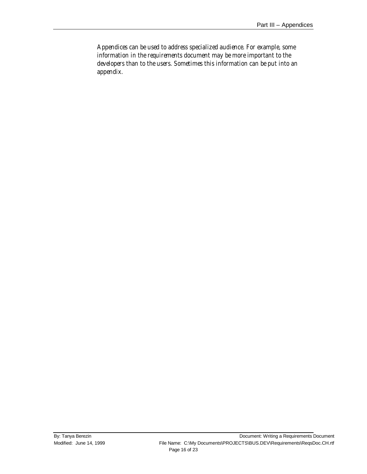*Appendices can be used to address specialized audience. For example, some information in the requirements document may be more important to the developers than to the users. Sometimes this information can be put into an appendix.*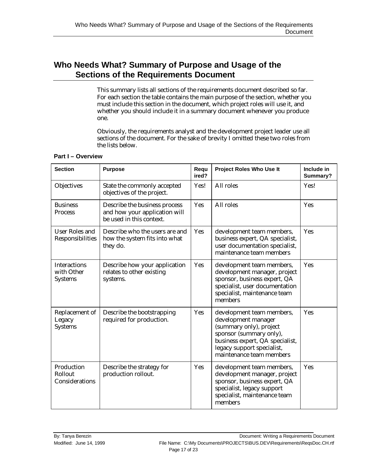## **Who Needs What? Summary of Purpose and Usage of the Sections of the Requirements Document**

This summary lists all sections of the requirements document described so far. For each section the table contains the main purpose of the section, whether you must include this section in the document, which project roles will use it, and whether you should include it in a summary document whenever you produce one.

Obviously, the requirements analyst and the development project leader use all sections of the document. For the sake of brevity I omitted these two roles from the lists below.

| <b>Section</b>                                      | <b>Purpose</b>                                                                             | Requ<br>ired?                                                                                                                                                                                              | Project Roles Who Use It                                                                                                                                               | Include in<br>Summary? |
|-----------------------------------------------------|--------------------------------------------------------------------------------------------|------------------------------------------------------------------------------------------------------------------------------------------------------------------------------------------------------------|------------------------------------------------------------------------------------------------------------------------------------------------------------------------|------------------------|
| Objectives                                          | State the commonly accepted<br>objectives of the project.                                  | Yes!                                                                                                                                                                                                       | All roles                                                                                                                                                              | Yes!                   |
| <b>Business</b><br>Process                          | Describe the business process<br>and how your application will<br>be used in this context. | Yes                                                                                                                                                                                                        | All roles                                                                                                                                                              | Yes                    |
| <b>User Roles and</b><br>Responsibilities           | Describe who the users are and<br>how the system fits into what<br>they do.                | <b>Yes</b>                                                                                                                                                                                                 | development team members,<br>business expert, QA specialist,<br>user documentation specialist,<br>maintenance team members                                             | Yes                    |
| <b>Interactions</b><br>with Other<br><b>Systems</b> | Describe how your application<br>relates to other existing<br>systems.                     | <b>Yes</b>                                                                                                                                                                                                 | development team members,<br>development manager, project<br>sponsor, business expert, QA<br>specialist, user documentation<br>specialist, maintenance team<br>members | Yes                    |
| Replacement of<br>Legacy<br><b>Systems</b>          | Describe the bootstrapping<br>required for production.                                     | Yes<br>development team members,<br>development manager<br>(summary only), project<br>sponsor (summary only),<br>business expert, QA specialist,<br>legacy support specialist,<br>maintenance team members |                                                                                                                                                                        | Yes                    |
| Production<br>Rollout<br>Considerations             | Describe the strategy for<br>production rollout.                                           | Yes                                                                                                                                                                                                        | development team members,<br>development manager, project<br>sponsor, business expert, QA<br>specialist, legacy support<br>specialist, maintenance team<br>members     | Yes                    |

#### **Part I – Overview**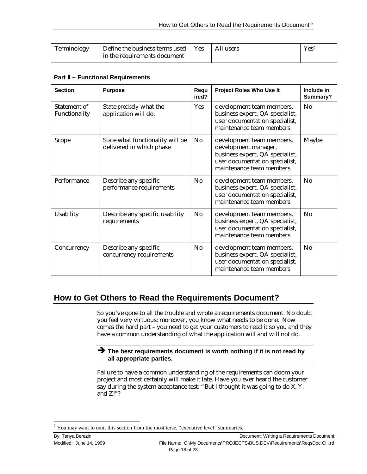| Terminology | Define the business terms used   Yes | All users | $\mathrm{Yes}^2$ |
|-------------|--------------------------------------|-----------|------------------|
|             | in the requirements document         |           |                  |

#### **Part II – Functional Requirements**

| <b>Section</b>                | <b>Purpose</b>                                               | Requ<br>ired?                                                                                                                                            | Project Roles Who Use It                                                                                                   | Include in<br>Summary? |
|-------------------------------|--------------------------------------------------------------|----------------------------------------------------------------------------------------------------------------------------------------------------------|----------------------------------------------------------------------------------------------------------------------------|------------------------|
| Statement of<br>Functionality | State <i>precisely</i> what the<br>application will do.      | <b>Yes</b>                                                                                                                                               | development team members,<br>business expert, QA specialist,<br>user documentation specialist,<br>maintenance team members | N <sub>0</sub>         |
| Scope                         | State what functionality will be<br>delivered in which phase | No<br>development team members,<br>development manager,<br>business expert, QA specialist,<br>user documentation specialist,<br>maintenance team members |                                                                                                                            | Maybe                  |
| Performance                   | Describe any specific<br>performance requirements            | N <sub>0</sub>                                                                                                                                           | development team members,<br>business expert, QA specialist,<br>user documentation specialist,<br>maintenance team members | No                     |
| <b>Usability</b>              | Describe any specific usability<br>requirements              | N <sub>0</sub>                                                                                                                                           | development team members,<br>business expert, QA specialist,<br>user documentation specialist,<br>maintenance team members | No                     |
| Concurrency                   | Describe any specific<br>concurrency requirements            | No                                                                                                                                                       | development team members,<br>business expert, QA specialist,<br>user documentation specialist,<br>maintenance team members | No                     |

## **How to Get Others to Read the Requirements Document?**

So you've gone to all the trouble and wrote a requirements document. No doubt you feel very virtuous; moreover, you know what needs to be done. Now comes the hard part – you need to get your customers to read it so you and they have a common understanding of what the application will and will not do.

#### $\rightarrow$  The best requirements document is worth nothing if it is not read by **all appropriate parties.**

Failure to have a common understanding of the requirements can doom your project and most certainly will make it late. Have you ever heard the customer say during the system acceptance test: "But I thought it was going to do X, Y, and Z!"?

-

 $2$  You may want to omit this section from the most terse, "executive level" summaries.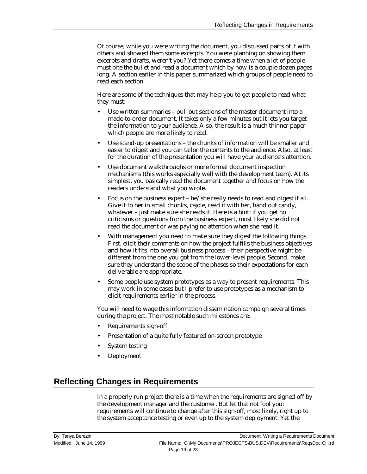Of course, while you were writing the document, you discussed parts of it with others and showed them some excerpts. You were planning on showing them excerpts and drafts, weren't you? Yet there comes a time when a lot of people must bite the bullet and read a document which by now is a couple dozen pages long. A section earlier in this paper summarized which groups of people need to read each section.

Here are some of the techniques that may help you to get people to read what they must:

- Use written summaries pull out sections of the master document into a made-to-order document. It takes only a few minutes but it lets you target the information to your audience. Also, the result is a much thinner paper which people are more likely to read.
- Use stand-up presentations the chunks of information will be smaller and easier to digest and you can tailor the contents to the audience. Also, at least for the duration of the presentation you will have your audience's attention.
- Use document walkthroughs or more formal document inspection mechanisms (this works especially well with the development team). At its simplest, you basically read the document together and focus on how the readers understand what you wrote.
- Focus on the business expert he/she really needs to read and digest it all. Give it to her in small chunks, cajole, read it with her, hand out candy, whatever – just make sure she reads it. Here is a hint: if you get no criticisms or questions from the business expert, most likely she did not read the document or was paying no attention when she read it.
- With management you need to make sure they digest the following things. First, elicit their comments on how the project fulfills the business objectives and how it fits into overall business process – their perspective might be different from the one you got from the lower-level people. Second, make sure they understand the scope of the phases so their expectations for each deliverable are appropriate.
- Some people use system prototypes as a way to present requirements. This may work in some cases but I prefer to use prototypes as a mechanism to elicit requirements earlier in the process.

You will need to wage this information dissemination campaign several times during the project. The most notable such milestones are:

- Requirements sign-off
- Presentation of a quite fully featured on-screen prototype
- System testing
- Deployment

## **Reflecting Changes in Requirements**

In a properly run project there is a time when the requirements are signed off by the development manager and the customer. But let that not fool you: requirements will continue to change after this sign-off, most likely, right up to the system acceptance testing or even up to the system deployment. Yet the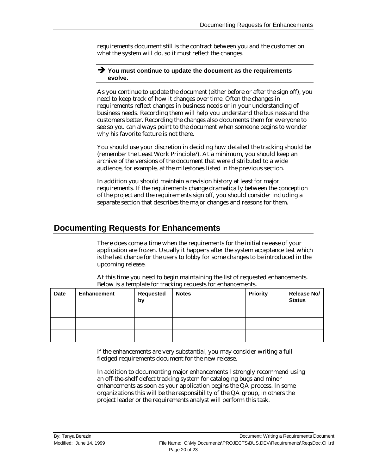requirements document still is the contract between you and the customer on what the system will do, so it must reflect the changes.

#### Ë **You must continue to update the document as the requirements evolve.**

As you continue to update the document (either before or after the sign off), you need to keep track of how it changes over time. Often the changes in requirements reflect changes in business needs or in your understanding of business needs. Recording them will help you understand the business and the customers better. Recording the changes also documents them for everyone to see so you can always point to the document when someone begins to wonder why his favorite feature is not there.

You should use your discretion in deciding how detailed the tracking should be (remember the Least Work Principle?). At a minimum, you should keep an archive of the versions of the document that were distributed to a wide audience, for example, at the milestones listed in the previous section.

In addition you should maintain a revision history at least for major requirements. If the requirements change dramatically between the conception of the project and the requirements sign off, you should consider including a separate section that describes the major changes and reasons for them.

## **Documenting Requests for Enhancements**

There does come a time when the requirements for the initial release of your application are frozen. Usually it happens after the system acceptance test which is the last chance for the users to lobby for some changes to be introduced in the upcoming release.

| <b>Date</b> | <b>Enhancement</b> | <b>Requested</b><br>by | <b>Notes</b> | <b>Priority</b> | <b>Release No/</b><br><b>Status</b> |
|-------------|--------------------|------------------------|--------------|-----------------|-------------------------------------|
|             |                    |                        |              |                 |                                     |
|             |                    |                        |              |                 |                                     |
|             |                    |                        |              |                 |                                     |

At this time you need to begin maintaining the list of requested enhancements. Below is a template for tracking requests for enhancements.

If the enhancements are very substantial, you may consider writing a fullfledged requirements document for the new release.

In addition to documenting major enhancements I strongly recommend using an off-the-shelf defect tracking system for cataloging bugs and minor enhancements as soon as your application begins the QA process. In some organizations this will be the responsibility of the QA group, in others the project leader or the requirements analyst will perform this task.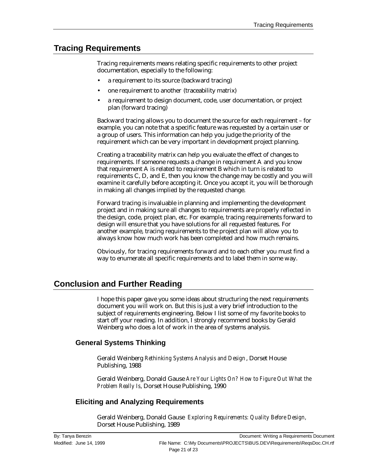## **Tracing Requirements**

Tracing requirements means relating specific requirements to other project documentation, especially to the following:

- a requirement to its source (backward tracing)
- one requirement to another (traceability matrix)
- a requirement to design document, code, user documentation, or project plan (forward tracing)

Backward tracing allows you to document the source for each requirement – for example, you can note that a specific feature was requested by a certain user or a group of users. This information can help you judge the priority of the requirement which can be very important in development project planning.

Creating a traceability matrix can help you evaluate the effect of changes to requirements. If someone requests a change in requirement A and you know that requirement A is related to requirement B which in turn is related to requirements C, D, and E, then you know the change may be costly and you will examine it carefully before accepting it. Once you accept it, you will be thorough in making all changes implied by the requested change.

Forward tracing is invaluable in planning and implementing the development project and in making sure all changes to requirements are properly reflected in the design, code, project plan, etc. For example, tracing requirements forward to design will ensure that you have solutions for all requested features. For another example, tracing requirements to the project plan will allow you to always know how much work has been completed and how much remains.

Obviously, for tracing requirements forward and to each other you must find a way to enumerate all specific requirements and to label them in some way.

## **Conclusion and Further Reading**

I hope this paper gave you some ideas about structuring the next requirements document you will work on. But this is just a very brief introduction to the subject of requirements engineering. Below I list some of my favorite books to start off your reading. In addition, I strongly recommend books by Gerald Weinberg who does a lot of work in the area of systems analysis.

#### **General Systems Thinking**

Gerald Weinberg *Rethinking Systems Analysis and Design*, Dorset House Publishing, 1988

Gerald Weinberg, Donald Gause *Are Your Lights On? How to Figure Out What the Problem Really Is*, Dorset House Publishing, 1990

#### **Eliciting and Analyzing Requirements**

Gerald Weinberg, Donald Gause *Exploring Requirements: Quality Before Design,* Dorset House Publishing, 1989